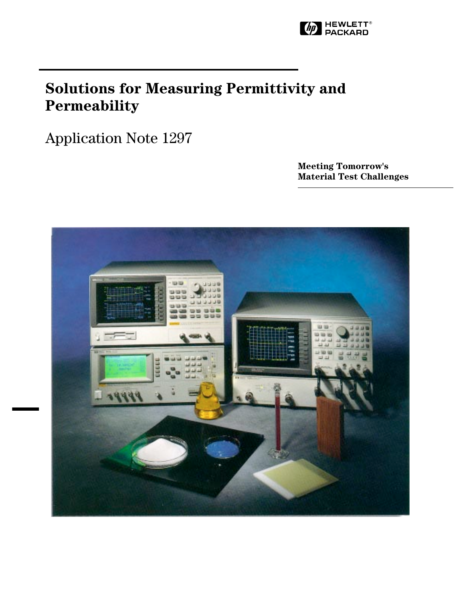

# **Solutions for Measuring Permittivity and Permeability**

Application Note 1297

**Meeting Tomorrow's Material Test Challenges**

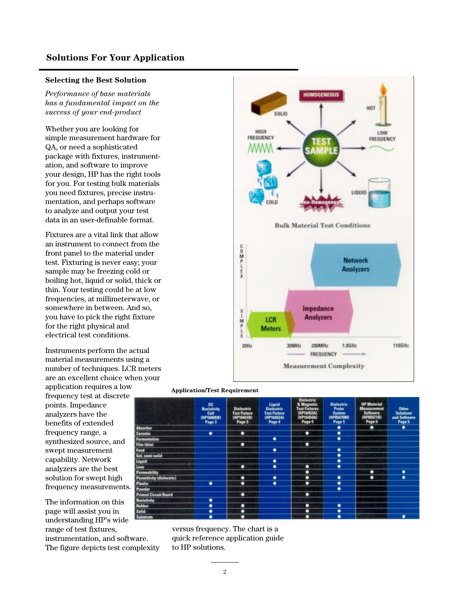# **Solutions For Your Application**

## **Selecting the Best Solution**

*Performance of base materials has a fundamental impact on the success of your end-product*

Whether you are looking for simple measurement hardware for QA, or need a sophisticated package with fixtures, instrumentation, and software to improve your design, HP has the right tools for you. For testing bulk materials you need fixtures, precise instrumentation, and perhaps software to analyze and output your test data in an user-definable format.

Fixtures are a vital link that allow an instrument to connect from the front panel to the material under test. Fixturing is never easy; your sample may be freezing cold or boiling hot, liquid or solid, thick or thin. Your testing could be at low frequencies, at millimeterwave, or somewhere in between. And so, you have to pick the right fixture for the right physical and electrical test conditions.

Instruments perform the actual material measurements using a number of techniques. LCR meters are an excellent choice when your

application requires a low frequency test at discrete points. Impedance analyzers have the benefits of extended frequency range, a synthesized source, and swept measurement capability. Network analyzers are the best solution for swept high frequency measurements.

The information on this page will assist you in understanding HP's wide range of test fixtures, instrumentation, and software. The figure depicts test complexity



#### **Application/Test Requirement**

|                              | <b>DC</b><br>Resistivity<br>Cell<br>(HP1500BB)<br>Page 3 | <b>Dielectric</b><br><b>Test Fixture</b><br>(HP16451B)<br>Page 3 | Liquid<br><b>Dielectric</b><br><b>Test Fixture</b><br>(HP16452A)<br>Page 4 | Dielectric<br>& Magnetic<br><b>Test Fixtures</b><br><b>HP16453A)</b><br>(HP16454A)<br>Page 4 | <b>Dielectric</b><br>Probe<br>System<br>(HP85070M)<br>Page 5 | <b>HP Material</b><br><b>Measurement</b><br><b>Seltware</b><br>(HP85071B)<br>Page 5 | <b>Other</b><br><b>Solutions</b><br>and Software<br>Page 5 |
|------------------------------|----------------------------------------------------------|------------------------------------------------------------------|----------------------------------------------------------------------------|----------------------------------------------------------------------------------------------|--------------------------------------------------------------|-------------------------------------------------------------------------------------|------------------------------------------------------------|
| <b>Absorber</b>              |                                                          |                                                                  |                                                                            |                                                                                              |                                                              | ٠                                                                                   | ٠                                                          |
| Ceramic                      | ٠                                                        | о                                                                |                                                                            | ٠                                                                                            | ٠                                                            |                                                                                     |                                                            |
| Fermentation                 |                                                          |                                                                  | ٠                                                                          |                                                                                              | $\overline{\bullet}$                                         |                                                                                     |                                                            |
| Film (thin)                  |                                                          | ٠                                                                |                                                                            | ٠                                                                                            |                                                              |                                                                                     |                                                            |
| Faad                         |                                                          |                                                                  | ٠                                                                          |                                                                                              | ٠                                                            |                                                                                     |                                                            |
| Gel, semi-solid              |                                                          |                                                                  |                                                                            |                                                                                              | ٠                                                            |                                                                                     |                                                            |
| Liquid                       |                                                          |                                                                  | ٠                                                                          |                                                                                              | ٠                                                            |                                                                                     |                                                            |
| Loss                         |                                                          | о                                                                | $\overline{\bullet}$                                                       | о                                                                                            | ٠                                                            |                                                                                     |                                                            |
| Permeability                 |                                                          |                                                                  |                                                                            | ٠                                                                                            |                                                              | ٠                                                                                   | ٠                                                          |
| Permittivity (dielectric)    |                                                          | ٠                                                                | ٠                                                                          | ٠                                                                                            | ٠                                                            | о                                                                                   | ٠                                                          |
| <b>Plastic</b>               | ٠                                                        | ٠                                                                | ٠                                                                          | ٠                                                                                            | ٠                                                            |                                                                                     |                                                            |
| Powder                       |                                                          |                                                                  |                                                                            |                                                                                              | ٠                                                            |                                                                                     |                                                            |
| <b>Printed Circuit Board</b> |                                                          | о                                                                |                                                                            | о                                                                                            |                                                              |                                                                                     |                                                            |
| <b>Resistivity</b>           | ٠                                                        |                                                                  |                                                                            |                                                                                              |                                                              |                                                                                     |                                                            |
| Rubber                       | ٠                                                        | ٠                                                                |                                                                            | о                                                                                            | ٠                                                            |                                                                                     |                                                            |
| <b>Solid</b>                 | ٠                                                        | ٠                                                                |                                                                            | о                                                                                            | ٠                                                            |                                                                                     |                                                            |
| <b>Substrate</b>             | ٠                                                        | о                                                                |                                                                            | ٠                                                                                            | ٠                                                            |                                                                                     | ٠                                                          |

versus frequency. The chart is a quick reference application guide to HP solutions.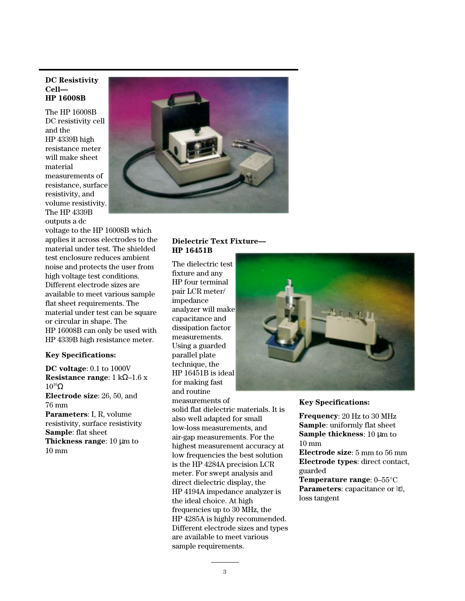#### **DC Resistivity Cell— HP 16008B**

The HP 16008B DC resistivity cell and the HP 4339B high resistance meter will make sheet material measurements of resistance, surface resistivity, and volume resistivity. The HP 4339B outputs a dc

voltage to the HP 16008B which applies it across electrodes to the material under test. The shielded test enclosure reduces ambient noise and protects the user from high voltage test conditions. Different electrode sizes are available to meet various sample flat sheet requirements. The material under test can be square or circular in shape. The HP 16008B can only be used with HP 4339B high resistance meter.

## **Key Specifications:**

**DC voltage**: 0.1 to 1000V **Resistance range**: 1 kΩ–1.6 x  $10^{16}Ω$ **Electrode size**: 26, 50, and 76 mm **Parameters**: I, R, volume resistivity, surface resistivity **Sample**: flat sheet **Thickness range**: 10 µm to 10 mm



## **Dielectric Text Fixture— HP 16451B**

The dielectric test fixture and any HP four terminal pair LCR meter/ impedance analyzer will make capacitance and dissipation factor measurements. Using a guarded parallel plate technique, the HP 16451B is ideal for making fast and routine measurements of solid flat dielectric materials. It is also well adapted for small low-loss measurements, and air-gap measurements. For the highest measurement accuracy at low frequencies the best solution is the HP 4284A precision LCR meter. For swept analysis and direct dielectric display, the HP 4194A impedance analyzer is the ideal choice. At high frequencies up to 30 MHz, the HP 4285A is highly recommended. Different electrode sizes and types are available to meet various sample requirements.



#### **Key Specifications:**

**Frequency**: 20 Hz to 30 MHz **Sample**: uniformly flat sheet **Sample thickness**: 10 µm to 10 mm **Electrode size**: 5 mm to 56 mm

**Electrode types**: direct contact, guarded

**Temperature range**: 0–55°C **Parameters**: capacitance or |ε|, loss tangent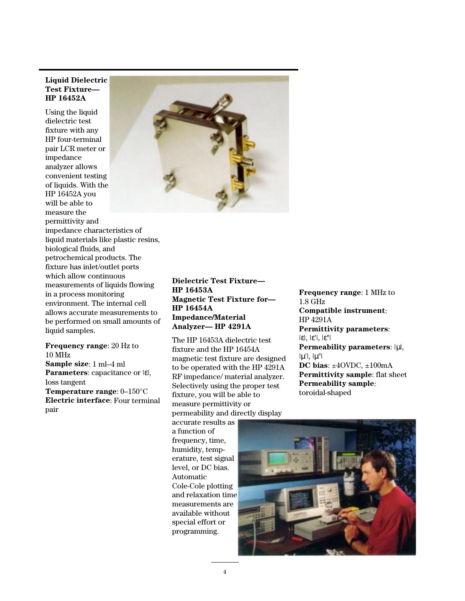## **Liquid Dielectric Test Fixture— HP 16452A**

Using the liquid dielectric test fixture with any HP four-terminal pair LCR meter or impedance analyzer allows convenient testing of liquids. With the HP 16452A you will be able to measure the permittivity and impedance characteristics of liquid materials like plastic resins, biological fluids, and petrochemical products. The fixture has inlet/outlet ports which allow continuous measurements of liquids flowing in a process monitoring environment. The internal cell allows accurate measurements to be performed on small amounts of liquid samples.

**Frequency range**: 20 Hz to 10 MHz **Sample size**: 1 ml–4 ml **Parameters**: capacitance or |ε|, loss tangent **Temperature range**: 0–150°C **Electric interface**: Four terminal

pair



**Dielectric Test Fixture— HP 16453A Magnetic Test Fixture for— HP 16454A Impedance/Material Analyzer— HP 4291A**

The HP 16453A dielectric test fixture and the HP 16454A magnetic test fixture are designed to be operated with the HP 4291A RF impedance/ material analyzer. Selectively using the proper test fixture, you will be able to measure permittivity or permeability and directly display

accurate results as a function of frequency, time, humidity, temperature, test signal level, or DC bias. Automatic Cole-Cole plotting and relaxation time measurements are available without special effort or programming.

**Frequency range**: 1 MHz to 1.8 GHz **Compatible instrument**: HP 4291A **Permittivity parameters**: |ε|, |ε'|, |ε"| **Permeability parameters**: |µ|,  $|\mu'|$ ,  $|\mu''|$ **DC bias**: ±4OVDC, ±100mA **Permittivity sample**: flat sheet **Permeability sample**: toroidal-shaped

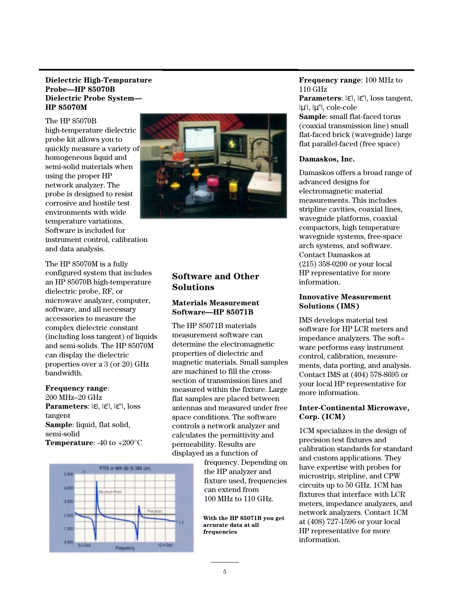## **Dielectric High-Tempurature Probe—HP 85070B Dielectric Probe System— HP 85070M**

The HP 85070B high-temperature dielectric probe kit allows you to quickly measure a variety of homogeneous liquid and semi-solid materials when using the proper HP network analyzer. The probe is designed to resist corrosive and hostile test environments with wide temperature variations. Software is included for instrument control, calibration and data analysis.

The HP 85070M is a fully configured system that includes an HP 85070B high-temperature dielectric probe, RF, or microwave analyzer, computer, software, and all necessary accessories to measure the complex dielectric constant (including loss tangent) of liquids and semi-solids. The HP 85070M can display the dielectric properties over a 3 (or 20) GHz bandwidth.

#### **Frequency range**:

200 MHz–20 GHz **Parameters**: |ε|, |ε'|, |ε"|, loss tangent **Sample**: liquid, flat solid, semi-solid **Temperature**: -40 to +200°C





# **Software and Other Solutions**

## **Materials Measurement Software—HP 85071B**

The HP 85071B materials measurement software can determine the electromagnetic properties of dielectric and magnetic materials. Small samples are machined to fill the crosssection of transmission lines and measured within the fixture. Large flat samples are placed between antennas and measured under free space conditions. The software controls a network analyzer and calculates the permittivity and permeability. Results are displayed as a function of

> frequency. Depending on the HP analyzer and fixture used, frequencies can extend from 100 MHz to 110 GHz.

**With the HP 85071B you get accurate data at all frequencies**

#### **Frequency range**: 100 MHz to 110 GHz

**Parameters**: |ε'|, |ε"|, loss tangent, |µ'|, |µ"|, cole-cole **Sample**: small flat-faced torus (coaxial transmission line) small

flat-faced brick (wavegnide) large flat parallel-faced (free space)

## **Damaskos, Inc.**

Damaskos offers a broad range of advanced designs for electromagnetic material measurements. This includes stripline cavities, coaxial lines, wavegnide platforms, coaxial compactors, high temperature wavegnide systems, free-space arch systems, and software. Contact Damaskos at (215) 358-0200 or your local HP representative for more information.

## **Innovative Measurement Solutions (IMS)**

IMS develops material test software for HP LCR meters and impedance analyzers. The soft= ware performs easy instrument control, calibration, measurements, data porting, and analysis. Contact IMS at (404) 578-8695 or your local HP representative for more information.

## **Inter-Continental Microwave, Corp. (ICM)**

1CM specializes in the design of precision test fixtures and calibration standards for standard and custom applications. They have expertise with probes for microstrip, stripline, and CPW circuits up to 50 GHz. 1CM has fixtures that interface with LCR meters, impedance analyzers, and network analyzers. Contact 1CM at (408) 727-1596 or your local HP representative for more information.